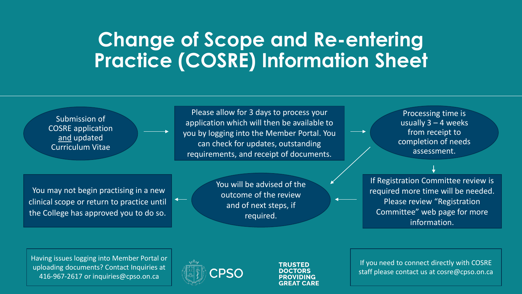# **Change of Scope and Re-entering Practice (COSRE) Information Sheet**



Having issues logging into Member Portal or uploading documents? Contact Inquiries at 416-967-2617 or inquiries@cpso.on.ca



TRUSTED DOCTORS **PROVIDING GREAT CARE** 

If you need to connect directly with COSRE staff please contact us at cosre@cpso.on.ca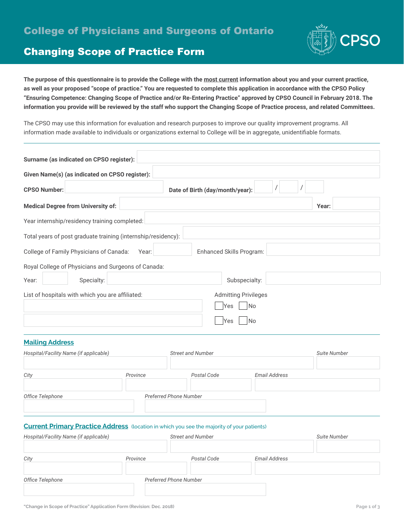

# Changing Scope of Practice Form

**The purpose of this questionnaire is to provide the College with the most current information about you and your current practice, as well as your proposed "scope of practice." You are requested to complete this application in accordance with the CPSO Policy "Ensuring Competence: Changing Scope of Practice and/or Re-Entering Practice" approved by CPSO Council in February 2018. The information you provide will be reviewed by the staff who support the Changing Scope of Practice process, and related Committees.**

The CPSO may use this information for evaluation and research purposes to improve our quality improvement programs. All information made available to individuals or organizations external to College will be in aggregate, unidentifiable formats.

| Surname (as indicated on CPSO register):                      |                                 |
|---------------------------------------------------------------|---------------------------------|
| Given Name(s) (as indicated on CPSO register):                |                                 |
| <b>CPSO Number:</b>                                           | Date of Birth (day/month/year): |
| <b>Medical Degree from University of:</b>                     | Year:                           |
| Year internship/residency training completed:                 |                                 |
| Total years of post graduate training (internship/residency): |                                 |
| College of Family Physicians of Canada:<br>Year:              | Enhanced Skills Program:        |
| Royal College of Physicians and Surgeons of Canada:           |                                 |
| Year:<br>Specialty:                                           | Subspecialty:                   |
| List of hospitals with which you are affiliated:              | <b>Admitting Privileges</b>     |
|                                                               | <b>No</b><br>Yes                |
|                                                               | No<br>lYes                      |
|                                                               |                                 |

#### **Mailing Address**

| Hospital/Facility Name (if applicable) |                               | <b>Street and Number</b> |               | <b>Suite Number</b> |
|----------------------------------------|-------------------------------|--------------------------|---------------|---------------------|
| City                                   | Province                      | Postal Code              | Email Address |                     |
| Office Telephone                       | <b>Preferred Phone Number</b> |                          |               |                     |

#### **Current Primary Practice Address** (location in which you see the majority of your patients)

| Hospital/Facility Name (if applicable) |          | <b>Street and Number</b>      |                      | Suite Number |
|----------------------------------------|----------|-------------------------------|----------------------|--------------|
| City                                   | Province | Postal Code                   | <b>Email Address</b> |              |
| Office Telephone                       |          | <b>Preferred Phone Number</b> |                      |              |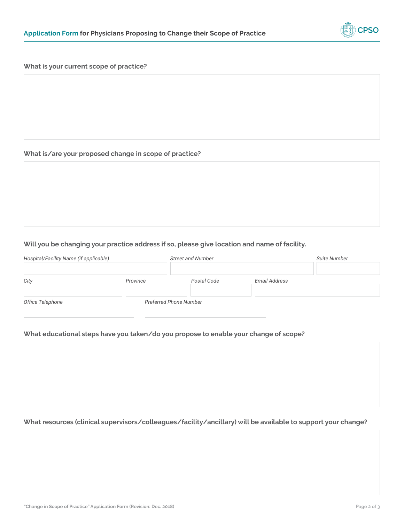

#### **What is your current scope of practice?**

### **What is/are your proposed change in scope of practice?**

# **Will you be changing your practice address if so, please give location and name of facility.**

| Hospital/Facility Name (if applicable) |          | <b>Street and Number</b>      |                      | <b>Suite Number</b> |
|----------------------------------------|----------|-------------------------------|----------------------|---------------------|
| City                                   | Province | Postal Code                   | <b>Email Address</b> |                     |
| Office Telephone                       |          | <b>Preferred Phone Number</b> |                      |                     |

#### **What educational steps have you taken/do you propose to enable your change of scope?**

## **What resources (clinical supervisors/colleagues/facility/ancillary) will be available to support your change?**